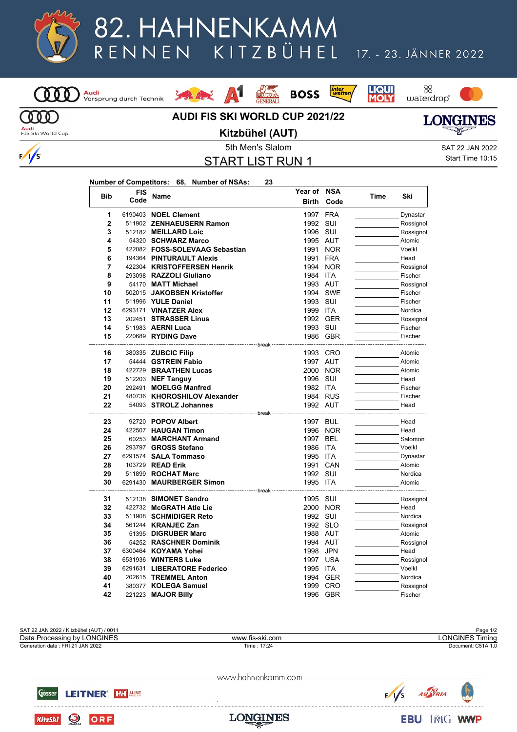

## 82. HAHNENKAMM KITZBÜHEL RENNEN

## 17. - 23. JÄNNER 2022



## *inter*<br>wetten 95 A1 **BOSS** Louis Ave. **AUDI FIS SKI WORLD CUP 2021/22**





**Audi**<br>FIS Ski World Cup

 $\frac{1}{s}$ 

**Kitzbühel (AUT)**

**LONGINES** 

START LIST RUN 1

**Year of NSA**

5th Men's Slalom SAT 22 JAN 2022 Start Time 10:15

|--|

<mark>Audi</mark><br>Vorsprung durch Technik

| <b>Bib</b>     | FIS  | Name                                              | Year of                  | NSA        | Time | Ski                 |
|----------------|------|---------------------------------------------------|--------------------------|------------|------|---------------------|
|                | Code |                                                   | <b>Birth</b>             | Code       |      |                     |
| 1              |      | 6190403 NOEL Clement                              | 1997                     | <b>FRA</b> |      | Dynastar            |
| $\overline{2}$ |      | 511902 ZENHAEUSERN Ramon                          | 1992                     | SUI        |      | Rossignol           |
| 3              |      | 512182 MEILLARD Loic                              | 1996                     | SUI        |      | Rossignol           |
| 4              |      | 54320 SCHWARZ Marco                               | 1995 AUT                 |            |      | Atomic              |
| 5              |      | 422082 FOSS-SOLEVAAG Sebastian                    | 1991                     | <b>NOR</b> |      | Voelkl              |
| 6              |      | 194364 PINTURAULT Alexis                          | 1991                     | <b>FRA</b> |      | Head                |
| 7              |      | 422304 KRISTOFFERSEN Henrik                       |                          | 1994 NOR   |      | Rossignol           |
| 8              |      | 293098 RAZZOLI Giuliano                           | 1984 ITA                 |            |      | Fischer             |
| 9              |      | 54170 MATT Michael                                | 1993 AUT                 |            |      | Rossignol           |
| 10             |      | 502015 JAKOBSEN Kristoffer                        |                          | 1994 SWE   |      | Fischer             |
| 11             |      | 511996 YULE Daniel                                | 1993 SUI                 |            |      | Fischer             |
| 12             |      | 6293171 VINATZER Alex                             | 1999 ITA                 |            |      | Nordica             |
| 13             |      | 202451 STRASSER Linus                             |                          | 1992 GER   |      | Rossignol           |
| 14             |      | 511983 AERNI Luca                                 | 1993 SUI                 |            |      | Fischer             |
| 15             |      | 220689 RYDING Dave                                |                          | 1986 GBR   |      | Fischer             |
| 16             |      | ------------------- break                         |                          | 1993 CRO   |      | Atomic              |
| 17             |      | 380335 ZUBCIC Filip<br>54444 GSTREIN Fabio        | 1997 AUT                 |            |      | Atomic              |
| 18             |      | 422729 BRAATHEN Lucas                             |                          | 2000 NOR   |      | Atomic              |
| 19             |      | 512203 NEF Tanguy                                 | 1996 SUI                 |            |      | Head                |
| 20             |      | 292491 MOELGG Manfred                             | 1982 ITA                 |            |      | Fischer             |
| 21             |      | 480736 KHOROSHILOV Alexander                      |                          | 1984 RUS   |      | Fischer             |
| 22             |      | 54093 STROLZ Johannes                             | 1992 AUT                 |            |      | Head                |
|                |      |                                                   |                          |            |      |                     |
| 23             |      | 92720 POPOV Albert                                | 1997 BUL                 |            |      | Head                |
| 24             |      | 422507 HAUGAN Timon                               |                          | 1996 NOR   |      | Head                |
| 25             |      | 60253 MARCHANT Armand                             | 1997 BEL                 |            |      | Salomon             |
| 26             |      | 293797 GROSS Stefano                              | 1986                     | <b>ITA</b> |      | Voelkl              |
| 27             |      | 6291574 SALA Tommaso                              | 1995                     | <b>ITA</b> |      | Dynastar            |
| 28             |      | 103729 READ Erik                                  |                          | 1991 CAN   |      | Atomic              |
| 29             |      | 511899 ROCHAT Marc                                | 1992 SUI                 |            |      | Nordica             |
| 30             |      | 6291430 MAURBERGER Simon                          | 1995 ITA                 |            |      | Atomic              |
|                |      |                                                   | ------------- break ---- |            |      |                     |
| 31<br>32       |      | 512138 SIMONET Sandro                             | 1995 SUI                 |            |      | Rossignol           |
| 33             |      | 422732 McGRATH Atle Lie<br>511908 SCHMIDIGER Reto | 1992 SUI                 | 2000 NOR   |      | Head<br>Nordica     |
| 34             |      | 561244 KRANJEC Zan                                | 1992 SLO                 |            |      |                     |
| 35             |      | 51395 DIGRUBER Marc                               | 1988 AUT                 |            |      | Rossignol<br>Atomic |
| 36             |      | 54252 RASCHNER Dominik                            | 1994 AUT                 |            |      | Rossignol           |
| 37             |      |                                                   |                          |            |      |                     |
| 38             |      | 6300464 KOYAMA Yohei<br>6531936 WINTERS Luke      | 1998 JPN<br>1997 USA     |            |      | Head                |
| 39             |      | 6291631 LIBERATORE Federico                       | 1995                     | ITA        |      | Rossignol<br>Voelkl |
| 40             |      | 202615 TREMMEL Anton                              | 1994                     | <b>GER</b> |      | Nordica             |
| 41             |      | 380377 KOLEGA Samuel                              | 1999                     | CRO        |      | Rossignol           |
| 42             |      | 221223 <b>MAJOR Billy</b>                         |                          | 1996 GBR   |      | Fischer             |
|                |      |                                                   |                          |            |      |                     |



www.hahnenkamm.com



**O** ORF

**KitzSki** 



**LONGINES**